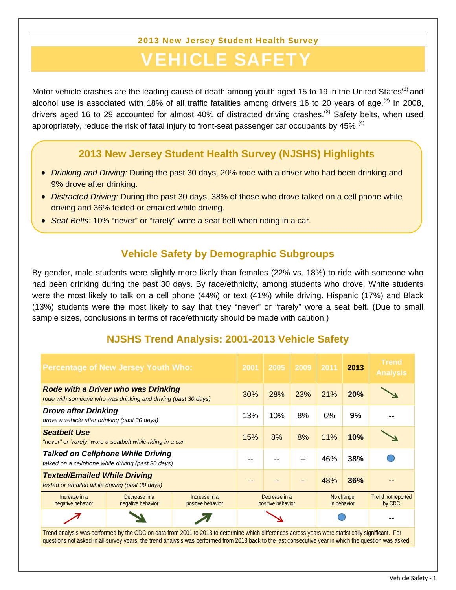2013 New Jersey Student Health Survey

## VEHICLE SAFI

Motor vehicle crashes are the leading cause of death among youth aged 15 to 19 in the United States<sup>(1)</sup> and alcohol use is associated with 18% of all traffic fatalities among drivers 16 to 20 years of age.<sup>(2)</sup> In 2008, drivers aged 16 to 29 accounted for almost 40% of distracted driving crashes.<sup>(3)</sup> Safety belts, when used appropriately, reduce the risk of fatal injury to front-seat passenger car occupants by  $45\%$ .<sup>(4)</sup>

## **2013 New Jersey Student Health Survey (NJSHS) Highlights**

- *Drinking and Driving:* During the past 30 days, 20% rode with a driver who had been drinking and 9% drove after drinking.
- *Distracted Driving:* During the past 30 days, 38% of those who drove talked on a cell phone while driving and 36% texted or emailed while driving.
- *Seat Belts:* 10% "never" or "rarely" wore a seat belt when riding in a car.

## **Vehicle Safety by Demographic Subgroups**

By gender, male students were slightly more likely than females (22% vs. 18%) to ride with someone who had been drinking during the past 30 days. By race/ethnicity, among students who drove, White students were the most likely to talk on a cell phone (44%) or text (41%) while driving. Hispanic (17%) and Black (13%) students were the most likely to say that they "never" or "rarely" wore a seat belt. (Due to small sample sizes, conclusions in terms of race/ethnicity should be made with caution.)

## **NJSHS Trend Analysis: 2001-2013 Vehicle Safety**

| <b>Percentage of New Jersey Youth Who:</b>                                                                                                        | 2001                               | 2005 | 2009 | 2011                     | 2013       | <b>Trend</b><br><b>Analysis</b> |
|---------------------------------------------------------------------------------------------------------------------------------------------------|------------------------------------|------|------|--------------------------|------------|---------------------------------|
| <b>Rode with a Driver who was Drinking</b><br>rode with someone who was drinking and driving (past 30 days)                                       | 30%                                | 28%  | 23%  | 21%                      | <b>20%</b> |                                 |
| <b>Drove after Drinking</b><br>drove a vehicle after drinking (past 30 days)                                                                      | 13%                                | 10%  | 8%   | 6%                       | 9%         |                                 |
| <b>Seatbelt Use</b><br>"never" or "rarely" wore a seatbelt while riding in a car                                                                  | 15%                                | 8%   | 8%   | 11%                      | 10%        |                                 |
| <b>Talked on Cellphone While Driving</b><br>talked on a cellphone while driving (past 30 days)                                                    |                                    |      |      | 46%                      | 38%        |                                 |
| <b>Texted/Emailed While Driving</b><br>texted or emailed while driving (past 30 days)                                                             |                                    |      |      | 48%                      | 36%        |                                 |
| Increase in a<br>Decrease in a<br>Increase in a<br>negative behavior<br>negative behavior<br>positive behavior                                    | Decrease in a<br>positive behavior |      |      | No change<br>in behavior |            | Trend not reported<br>by CDC    |
| Trand applycic was performed by the CDC on data from 2001 to 2012 to determine which differences across vegre were statistically significant. For |                                    |      |      |                          |            |                                 |

Trend analysis was performed by the CDC on data from 2001 to 2013 to determine which differences across years were statistically significant. For questions not asked in all survey years, the trend analysis was performed from 2013 back to the last consecutive year in which the question was asked.